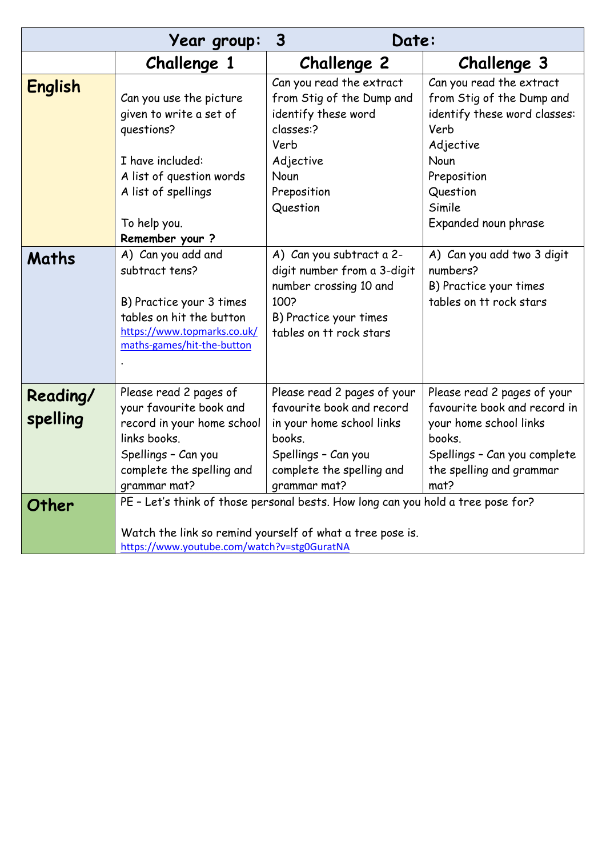|                      | Year group:                                                                                                                                                                                  | $\overline{3}$<br>Date:                                                                                                                                             |                                                                                                                                                                     |
|----------------------|----------------------------------------------------------------------------------------------------------------------------------------------------------------------------------------------|---------------------------------------------------------------------------------------------------------------------------------------------------------------------|---------------------------------------------------------------------------------------------------------------------------------------------------------------------|
|                      | Challenge 1                                                                                                                                                                                  | <b>Challenge 2</b>                                                                                                                                                  | Challenge 3                                                                                                                                                         |
| <b>English</b>       | Can you use the picture<br>given to write a set of<br>questions?                                                                                                                             | Can you read the extract<br>from Stig of the Dump and<br>identify these word<br>classes:?<br>Verb                                                                   | Can you read the extract<br>from Stig of the Dump and<br>identify these word classes:<br>Verb<br>Adjective                                                          |
|                      | I have included:<br>A list of question words<br>A list of spellings<br>To help you.<br>Remember your?                                                                                        | Adjective<br>Noun<br>Preposition<br>Question                                                                                                                        | Noun<br>Preposition<br>Question<br>Simile<br>Expanded noun phrase                                                                                                   |
| Maths                | A) Can you add and<br>subtract tens?<br>B) Practice your 3 times<br>tables on hit the button<br>https://www.topmarks.co.uk/<br>maths-games/hit-the-button                                    | A) Can you subtract a 2-<br>digit number from a 3-digit<br>number crossing 10 and<br>100?<br>B) Practice your times<br>tables on tt rock stars                      | A) Can you add two 3 digit<br>numbers?<br>B) Practice your times<br>tables on tt rock stars                                                                         |
| Reading/<br>spelling | Please read 2 pages of<br>your favourite book and<br>record in your home school<br>links books.<br>Spellings - Can you<br>complete the spelling and<br>grammar mat?                          | Please read 2 pages of your<br>favourite book and record<br>in your home school links<br>books.<br>Spellings - Can you<br>complete the spelling and<br>grammar mat? | Please read 2 pages of your<br>favourite book and record in<br>your home school links<br>books.<br>Spellings - Can you complete<br>the spelling and grammar<br>mat? |
| Other                | PE - Let's think of those personal bests. How long can you hold a tree pose for?<br>Watch the link so remind yourself of what a tree pose is.<br>https://www.youtube.com/watch?v=stg0GuratNA |                                                                                                                                                                     |                                                                                                                                                                     |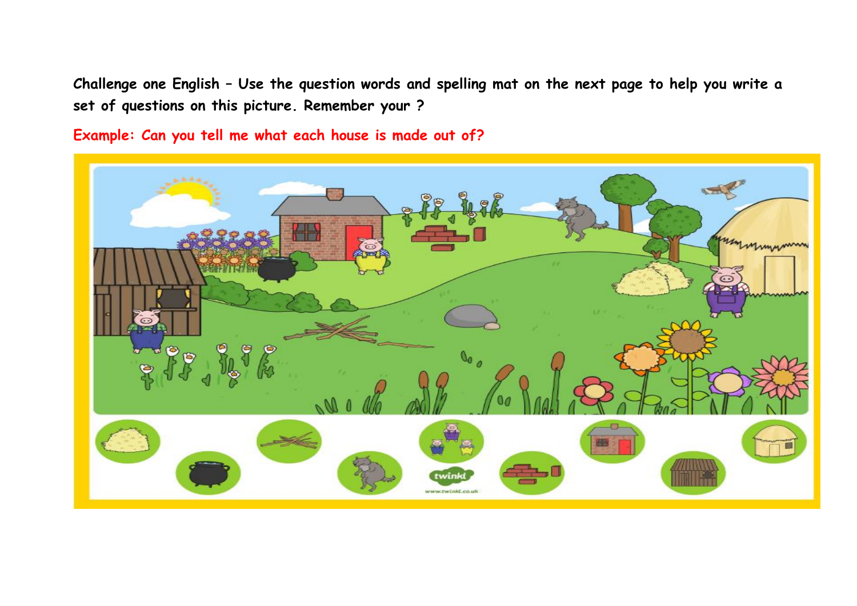**Challenge one English – Use the question words and spelling mat on the next page to help you write a set of questions on this picture. Remember your ?**

**Example: Can you tell me what each house is made out of?**

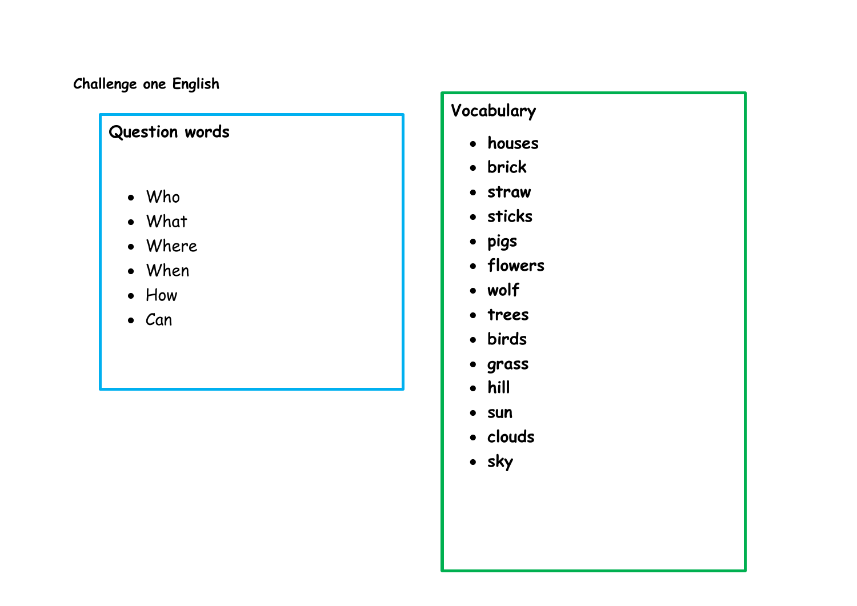## **Challenge one English**

# **Question words**

- Who
- What
- Where
- When
- How
- $\bullet$  Can

# **Vocabulary**

- **houses**
- **brick**
- **straw**
- **sticks**
- **pigs**
- **flowers**
- **wolf**
- **trees**
- **birds**
- **grass**
- **hill**
- **sun**
- **clouds**
- **sky**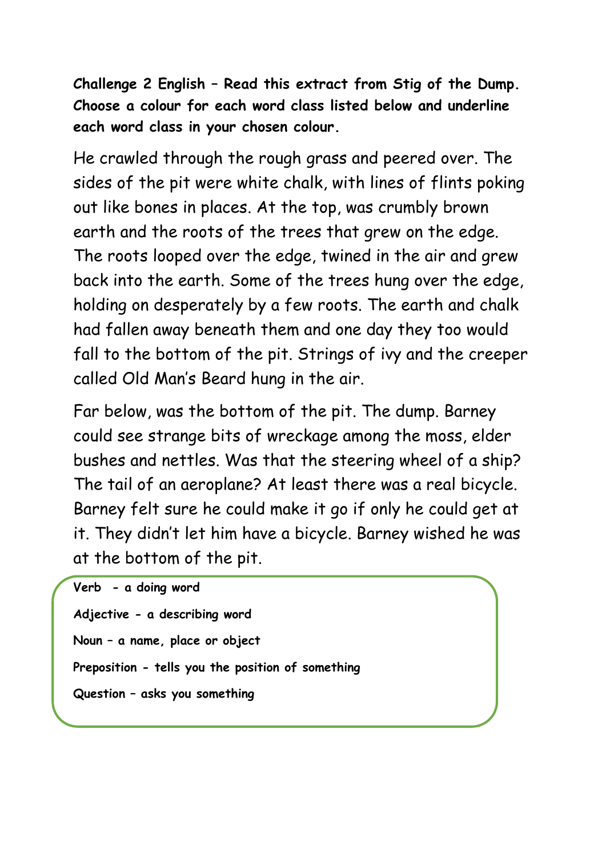**Challenge 2 English – Read this extract from Stig of the Dump. Choose a colour for each word class listed below and underline each word class in your chosen colour.**

He crawled through the rough grass and peered over. The sides of the pit were white chalk, with lines of flints poking out like bones in places. At the top, was crumbly brown earth and the roots of the trees that grew on the edge. The roots looped over the edge, twined in the air and grew back into the earth. Some of the trees hung over the edge, holding on desperately by a few roots. The earth and chalk had fallen away beneath them and one day they too would fall to the bottom of the pit. Strings of ivy and the creeper called Old Man's Beard hung in the air.

Far below, was the bottom of the pit. The dump. Barney could see strange bits of wreckage among the moss, elder bushes and nettles. Was that the steering wheel of a ship? The tail of an aeroplane? At least there was a real bicycle. Barney felt sure he could make it go if only he could get at it. They didn't let him have a bicycle. Barney wished he was at the bottom of the pit.

```
Verb - a doing word
Adjective - a describing word
Noun – a name, place or object
Preposition - tells you the position of something
Question – asks you something
```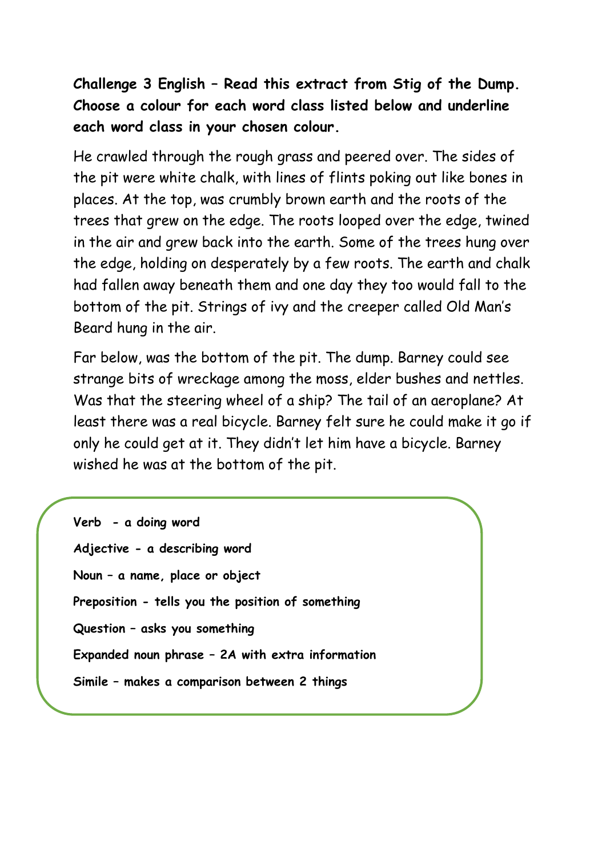**Challenge 3 English – Read this extract from Stig of the Dump. Choose a colour for each word class listed below and underline each word class in your chosen colour.**

He crawled through the rough grass and peered over. The sides of the pit were white chalk, with lines of flints poking out like bones in places. At the top, was crumbly brown earth and the roots of the trees that grew on the edge. The roots looped over the edge, twined in the air and grew back into the earth. Some of the trees hung over the edge, holding on desperately by a few roots. The earth and chalk had fallen away beneath them and one day they too would fall to the bottom of the pit. Strings of ivy and the creeper called Old Man's Beard hung in the air.

Far below, was the bottom of the pit. The dump. Barney could see strange bits of wreckage among the moss, elder bushes and nettles. Was that the steering wheel of a ship? The tail of an aeroplane? At least there was a real bicycle. Barney felt sure he could make it go if only he could get at it. They didn't let him have a bicycle. Barney wished he was at the bottom of the pit.

**Verb - a doing word Adjective - a describing word Noun – a name, place or object Preposition - tells you the position of something Question – asks you something Expanded noun phrase – 2A with extra information Simile – makes a comparison between 2 things**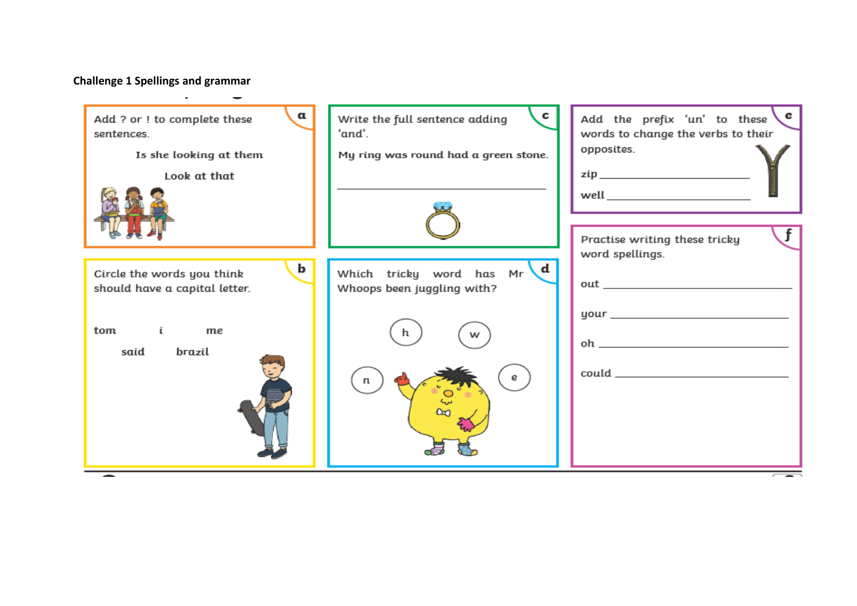# **Challenge 1 Spellings and grammar**

| α<br>Add ? or ! to complete these<br>sentences.<br>Is she looking at them | $\mathbf{c}$<br>Write the full sentence adding<br>'and'.<br>My ring was round had a green stone. | . e<br>Add the prefix 'un' to these<br>words to change the verbs to their<br>opposites. |
|---------------------------------------------------------------------------|--------------------------------------------------------------------------------------------------|-----------------------------------------------------------------------------------------|
| Look at that                                                              |                                                                                                  | zip ____________________________<br>Practise writing these tricky                       |
| b<br>Circle the words you think<br>should have a capital letter.          | √d.<br>Which tricky word has Mr<br>Whoops been juggling with?                                    | word spellings.                                                                         |
| tom i<br>me<br>brazil<br>said                                             | h<br>w<br>e                                                                                      |                                                                                         |
|                                                                           |                                                                                                  |                                                                                         |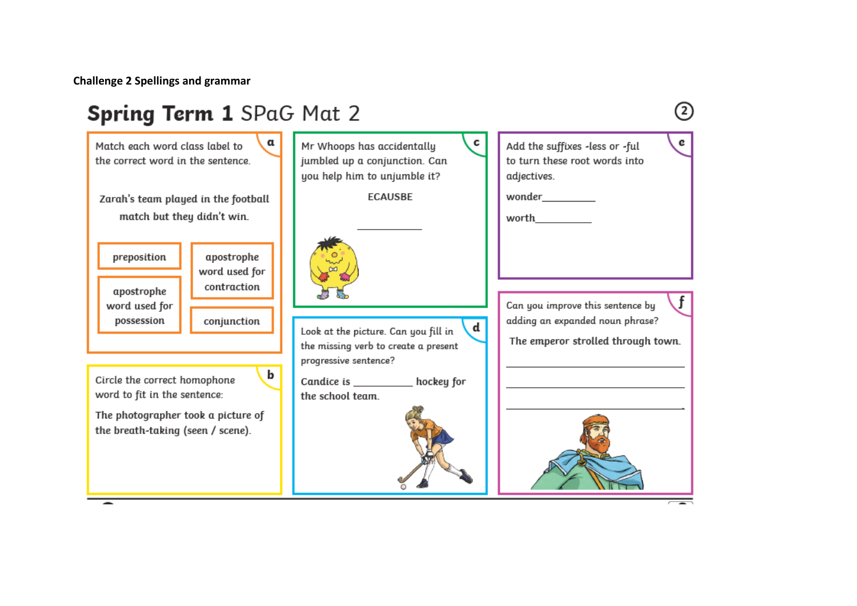**Challenge 2 Spellings and grammar**

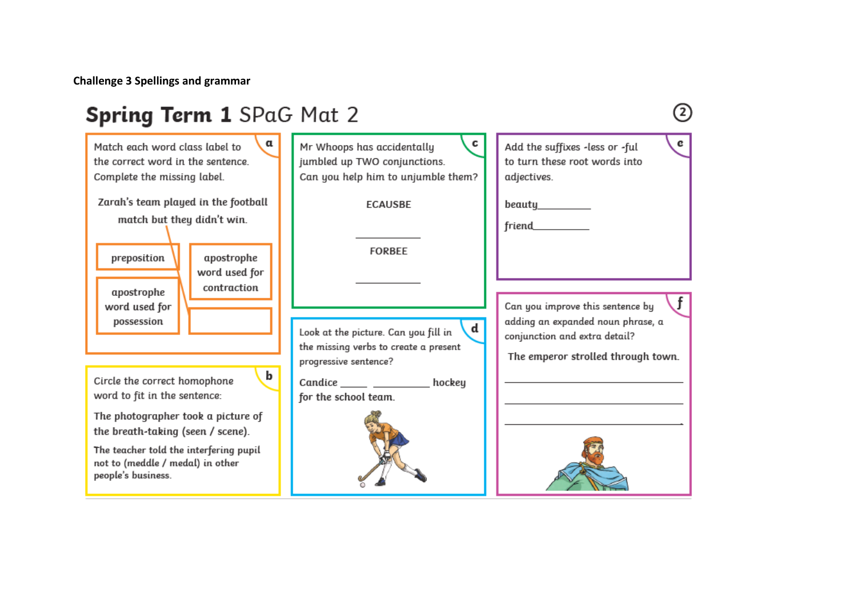**Challenge 3 Spellings and grammar**

#### Spring Term 1 SPaG Mat 2  $\circled{2}$  $\mathbf{c}$  $\mathbf{e}$ Match each word class label to α Mr Whoops has accidentally Add the suffixes -less or -ful jumbled up TWO conjunctions. the correct word in the sentence to turn these root words into Complete the missing label. Can you help him to unjumble them? adjectives. Zarah's team played in the football **FCAUSRE** beauty match but they didn't win. friend **FORBEE** preposition apostrophe word used for contraction apostrophe Can you improve this sentence by word used for possession adding an expanded noun phrase, a  $\overline{d}$ Look at the picture. Can you fill in conjunction and extra detail? the missing verbs to create a present The emperor strolled through town. progressive sentence? b Circle the correct homophone Candice hockey word to fit in the sentence: for the school team. The photographer took a picture of the breath-taking (seen / scene). The teacher told the interfering pupil not to (meddle / medal) in other people's business.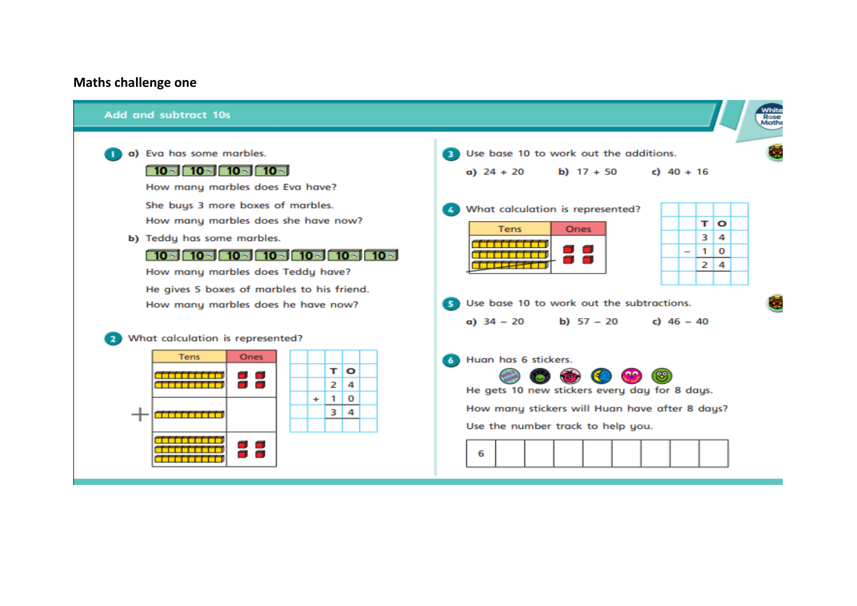### **Maths challenge one**

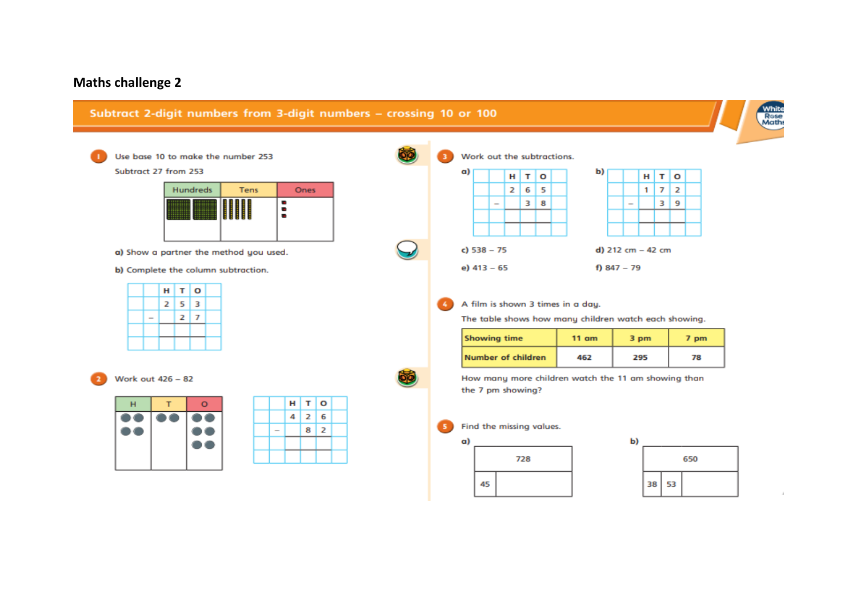## **Maths challenge 2**